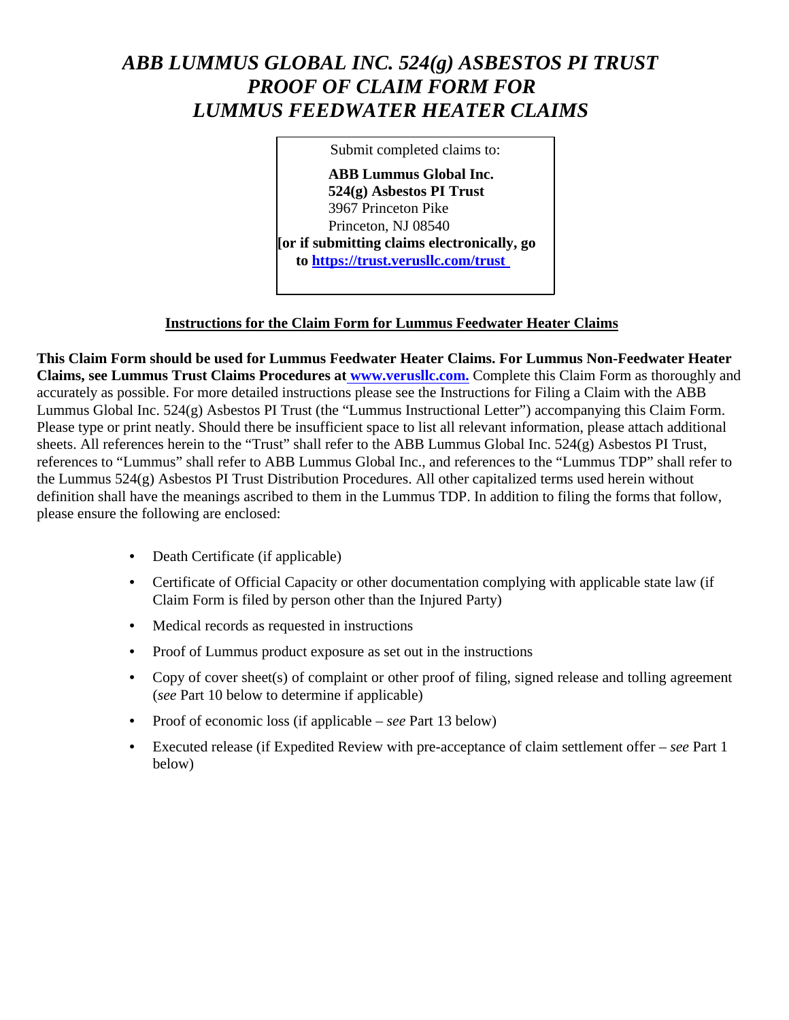# ABB LUMMUS GLOBAL INC. 524(g) ASBESTOS PI TRUST **PROOF OF CLAIM FORM FOR LUMMUS FEEDWATER HEATER CLAIMS**

Submit completed claims to: **ABB Lummus Global Inc.** 524(g) Asbestos PI Trust 3967 Princeton Pike Princeton, NJ 08540 [or if submitting claims electronically, go to https://trust.verusllc.com/trust

#### **Instructions for the Claim Form for Lummus Feedwater Heater Claims**

This Claim Form should be used for Lummus Feedwater Heater Claims. For Lummus Non-Feedwater Heater Claims, see Lummus Trust Claims Procedures at www.verusllc.com. Complete this Claim Form as thoroughly and accurately as possible. For more detailed instructions please see the Instructions for Filing a Claim with the ABB Lummus Global Inc. 524(g) Asbestos PI Trust (the "Lummus Instructional Letter") accompanying this Claim Form. Please type or print neatly. Should there be insufficient space to list all relevant information, please attach additional sheets. All references herein to the "Trust" shall refer to the ABB Lummus Global Inc.  $524(g)$  Asbestos PI Trust, references to "Lummus" shall refer to ABB Lummus Global Inc., and references to the "Lummus TDP" shall refer to the Lummus 524(g) Asbestos PI Trust Distribution Procedures. All other capitalized terms used herein without definition shall have the meanings ascribed to them in the Lummus TDP. In addition to filing the forms that follow, please ensure the following are enclosed:

- Death Certificate (if applicable)
- Certificate of Official Capacity or other documentation complying with applicable state law (if Claim Form is filed by person other than the Injured Party)
- Medical records as requested in instructions
- Proof of Lummus product exposure as set out in the instructions
- Copy of cover sheet(s) of complaint or other proof of filing, signed release and tolling agreement (see Part 10 below to determine if applicable)
- Proof of economic loss (if applicable see Part 13 below)
- Executed release (if Expedited Review with pre-acceptance of claim settlement offer  $-$  see Part 1 below)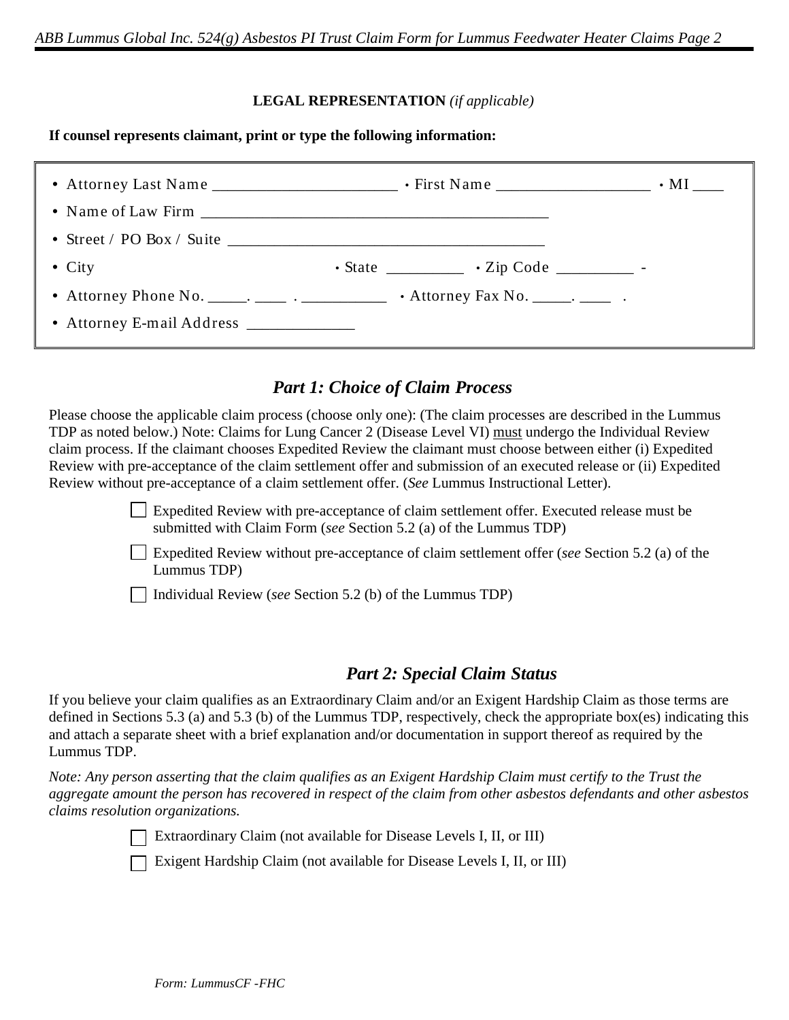#### **LEGAL REPRESENTATION** (if applicable)

If counsel represents claimant, print or type the following information:

| • Street / PO Box / Suite $\sqrt{2}$    |                                                             |  |
|-----------------------------------------|-------------------------------------------------------------|--|
| • City                                  | $\cdot$ State ______________ $\cdot$ Zip Code ___________ - |  |
|                                         |                                                             |  |
| • Attorney E-mail Address _____________ |                                                             |  |

## **Part 1: Choice of Claim Process**

Please choose the applicable claim process (choose only one): (The claim processes are described in the Lummus TDP as noted below.) Note: Claims for Lung Cancer 2 (Disease Level VI) must undergo the Individual Review claim process. If the claimant chooses Expedited Review the claimant must choose between either (i) Expedited Review with pre-acceptance of the claim settlement offer and submission of an executed release or (ii) Expedited Review without pre-acceptance of a claim settlement offer. (See Lummus Instructional Letter).

> **Expedited Review with pre-acceptance of claim settlement offer. Executed release must be** submitted with Claim Form (see Section 5.2 (a) of the Lummus TDP)

 $\perp$  Expedited Review without pre-acceptance of claim settlement offer (see Section 5.2 (a) of the Lummus TDP)

Individual Review (see Section 5.2 (b) of the Lummus TDP)

## **Part 2: Special Claim Status**

If you believe your claim qualifies as an Extraordinary Claim and/or an Exigent Hardship Claim as those terms are defined in Sections 5.3 (a) and 5.3 (b) of the Lummus TDP, respectively, check the appropriate box(es) indicating this and attach a separate sheet with a brief explanation and/or documentation in support thereof as required by the Lummus TDP.

Note: Any person asserting that the claim qualifies as an Exigent Hardship Claim must certify to the Trust the aggregate amount the person has recovered in respect of the claim from other asbestos defendants and other asbestos claims resolution organizations.

Extraordinary Claim (not available for Disease Levels I, II, or III)

Exigent Hardship Claim (not available for Disease Levels I, II, or III)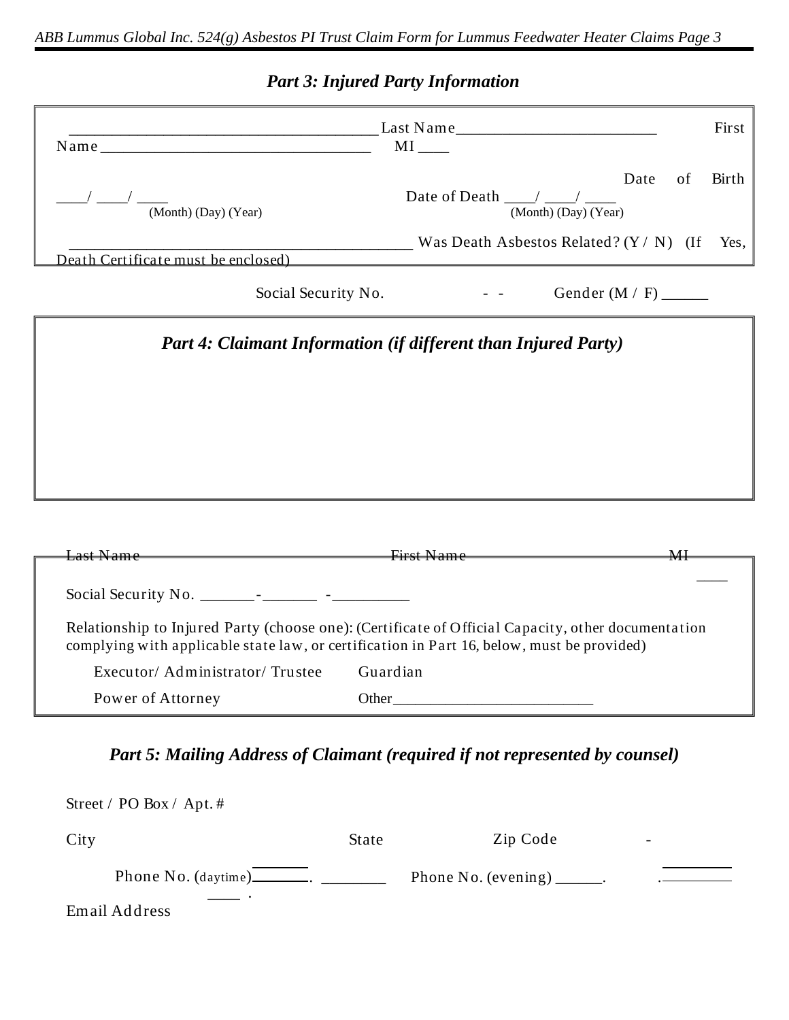# **Part 3: Injured Party Information**

| Name and the same state of the state of the state of the state of the state of the state of the state of the state of the state of the state of the state of the state of the state of the state of the state of the state of | $\qquad \qquad \text{Last Name} \qquad \qquad \text{Last Name}$<br>$MI$ <sub>_____</sub>                                                                                                         | First |
|-------------------------------------------------------------------------------------------------------------------------------------------------------------------------------------------------------------------------------|--------------------------------------------------------------------------------------------------------------------------------------------------------------------------------------------------|-------|
| $\overline{\text{(Month) (Day) (Year)}}$                                                                                                                                                                                      | Date<br>of<br>Date of Death $\frac{\ }{\ }$ / $\frac{\ }{\ }$<br>(Month) (Day) (Year)                                                                                                            | Birth |
| Death Certificate must be enclosed)                                                                                                                                                                                           | $\frac{1}{2}$ Was Death Asbestos Related? (Y / N) (If                                                                                                                                            | Yes,  |
| Social Security No.                                                                                                                                                                                                           |                                                                                                                                                                                                  |       |
|                                                                                                                                                                                                                               | <b>Part 4: Claimant Information (if different than Injured Party)</b>                                                                                                                            |       |
|                                                                                                                                                                                                                               |                                                                                                                                                                                                  |       |
|                                                                                                                                                                                                                               |                                                                                                                                                                                                  |       |
|                                                                                                                                                                                                                               |                                                                                                                                                                                                  |       |
|                                                                                                                                                                                                                               |                                                                                                                                                                                                  |       |
|                                                                                                                                                                                                                               |                                                                                                                                                                                                  |       |
|                                                                                                                                                                                                                               |                                                                                                                                                                                                  |       |
| <del>Last Name</del>                                                                                                                                                                                                          | <b>First Name</b><br>$M\!$                                                                                                                                                                       |       |
|                                                                                                                                                                                                                               |                                                                                                                                                                                                  |       |
|                                                                                                                                                                                                                               | Relationship to Injured Party (choose one): (Certificate of Official Capacity, other documentation<br>complying with applicable state law, or certification in Part 16, below, must be provided) |       |
| Executor/Administrator/Trustee                                                                                                                                                                                                | Guardian                                                                                                                                                                                         |       |

| City          | State | Zip Code                                  | $\overline{\phantom{a}}$ |
|---------------|-------|-------------------------------------------|--------------------------|
|               |       | Phone No. (evening) $\_\_\_\_\_\_\_\_\$ . |                          |
| Email Address |       |                                           |                          |

 $\text{Street}\,/\, \text{POBox}\,/\, \text{Apt.}$ #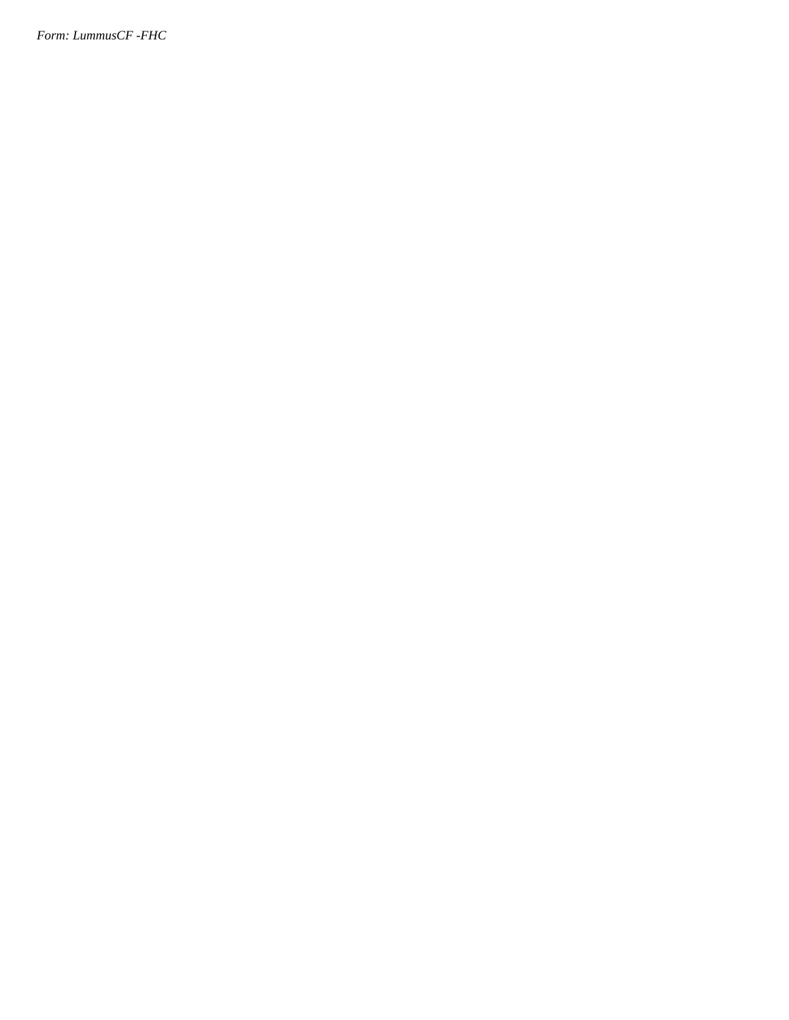Form: LummusCF -FHC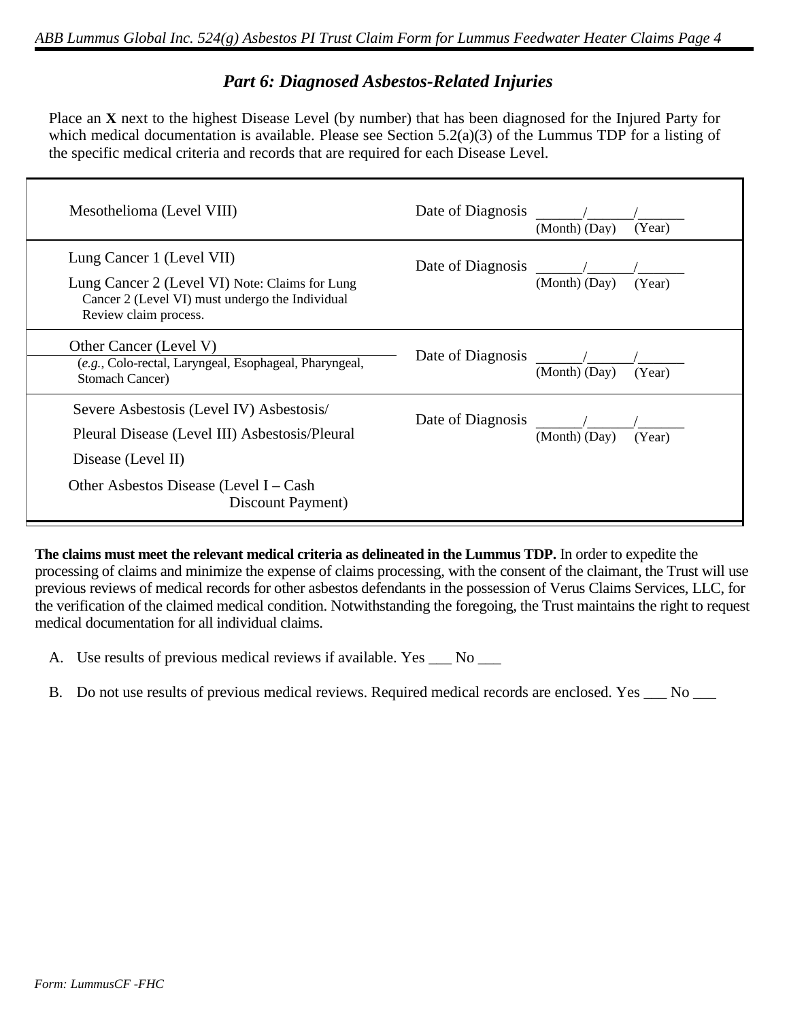### **Part 6: Diagnosed Asbestos-Related Injuries**

Place an X next to the highest Disease Level (by number) that has been diagnosed for the Injured Party for which medical documentation is available. Please see Section  $5.2(a)(3)$  of the Lummus TDP for a listing of the specific medical criteria and records that are required for each Disease Level.

| Mesothelioma (Level VIII)                                                                                                                               | Date of Diagnosis | (Month) (Day) | (Year) |
|---------------------------------------------------------------------------------------------------------------------------------------------------------|-------------------|---------------|--------|
| Lung Cancer 1 (Level VII)<br>Lung Cancer 2 (Level VI) Note: Claims for Lung<br>Cancer 2 (Level VI) must undergo the Individual<br>Review claim process. | Date of Diagnosis | (Month) (Day) | (Year) |
| Other Cancer (Level V)<br>(e.g., Colo-rectal, Laryngeal, Esophageal, Pharyngeal,<br>Stomach Cancer)                                                     | Date of Diagnosis | (Month) (Day) | (Year) |
| Severe Asbestosis (Level IV) Asbestosis/<br>Pleural Disease (Level III) Asbestosis/Pleural<br>Disease (Level II)                                        | Date of Diagnosis | (Month) (Day) | (Year) |
| Other Asbestos Disease (Level $I - Cash$<br>Discount Payment)                                                                                           |                   |               |        |

The claims must meet the relevant medical criteria as delineated in the Lummus TDP. In order to expedite the processing of claims and minimize the expense of claims processing, with the consent of the claimant, the Trust will use previous reviews of medical records for other asbestos defendants in the possession of Verus Claims Services, LLC, for the verification of the claimed medical condition. Notwithstanding the foregoing, the Trust maintains the right to request medical documentation for all individual claims.

A. Use results of previous medical reviews if available. Yes \_\_\_ No \_\_\_

B. Do not use results of previous medical reviews. Required medical records are enclosed. Yes \_\_ No \_\_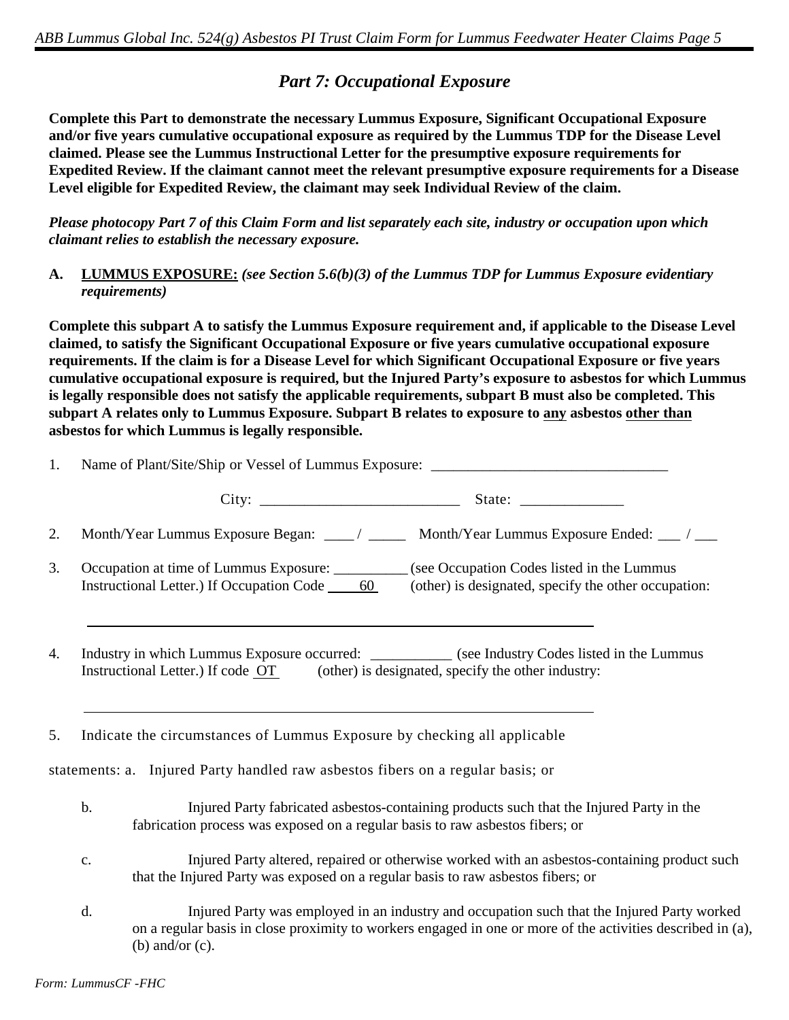### **Part 7: Occupational Exposure**

Complete this Part to demonstrate the necessary Lummus Exposure, Significant Occupational Exposure and/or five years cumulative occupational exposure as required by the Lummus TDP for the Disease Level claimed. Please see the Lummus Instructional Letter for the presumptive exposure requirements for Expedited Review. If the claimant cannot meet the relevant presumptive exposure requirements for a Disease Level eligible for Expedited Review, the claimant may seek Individual Review of the claim.

Please photocopy Part 7 of this Claim Form and list separately each site, industry or occupation upon which claimant relies to establish the necessary exposure.

 $A_{\bullet}$ **LUMMUS EXPOSURE:** (see Section 5.6(b)(3) of the Lummus TDP for Lummus Exposure evidentiary *requirements*)

Complete this subpart A to satisfy the Lummus Exposure requirement and, if applicable to the Disease Level claimed, to satisfy the Significant Occupational Exposure or five years cumulative occupational exposure requirements. If the claim is for a Disease Level for which Significant Occupational Exposure or five years cumulative occupational exposure is required, but the Injured Party's exposure to asbestos for which Lummus is legally responsible does not satisfy the applicable requirements, subpart B must also be completed. This subpart A relates only to Lummus Exposure. Subpart B relates to exposure to any asbestos other than asbestos for which Lummus is legally responsible.

 $\sim$ 

| $\mathbf{I}$ . | Name of Plant/Site/Ship or Vessel of Lummus Exposure: ___________________________ |                                                                                                                                                                                                            |  |  |  |
|----------------|-----------------------------------------------------------------------------------|------------------------------------------------------------------------------------------------------------------------------------------------------------------------------------------------------------|--|--|--|
|                |                                                                                   |                                                                                                                                                                                                            |  |  |  |
| 2.             |                                                                                   | Month/Year Lummus Exposure Began: ___/ ____ Month/Year Lummus Exposure Ended: ___/ ___                                                                                                                     |  |  |  |
| 3.             |                                                                                   | Occupation at time of Lummus Exposure: __________ (see Occupation Codes listed in the Lummus<br>Instructional Letter.) If Occupation Code 60 (other) is designated, specify the other occupation:          |  |  |  |
| 4.             |                                                                                   | Industry in which Lummus Exposure occurred: ___________ (see Industry Codes listed in the Lummus<br>Instructional Letter.) If code OT (other) is designated, specify the other industry:                   |  |  |  |
| 5.             |                                                                                   | Indicate the circumstances of Lummus Exposure by checking all applicable                                                                                                                                   |  |  |  |
|                |                                                                                   | statements: a. Injured Party handled raw asbestos fibers on a regular basis; or                                                                                                                            |  |  |  |
|                | $\mathbf b$ .                                                                     | Injured Party fabricated asbestos-containing products such that the Injured Party in the<br>fabrication process was exposed on a regular basis to raw asbestos fibers; or                                  |  |  |  |
|                | $\mathbf{c}$ .                                                                    | Injured Party altered, repaired or otherwise worked with an asbestos-containing product such<br>that the Injured Party was exposed on a regular basis to raw asbestos fibers; or                           |  |  |  |
|                | d.                                                                                | Injured Party was employed in an industry and occupation such that the Injured Party worked<br>on a regular basis in close proximity to workers engaged in one or more of the activities described in (a), |  |  |  |

(b) and/or  $(c)$ .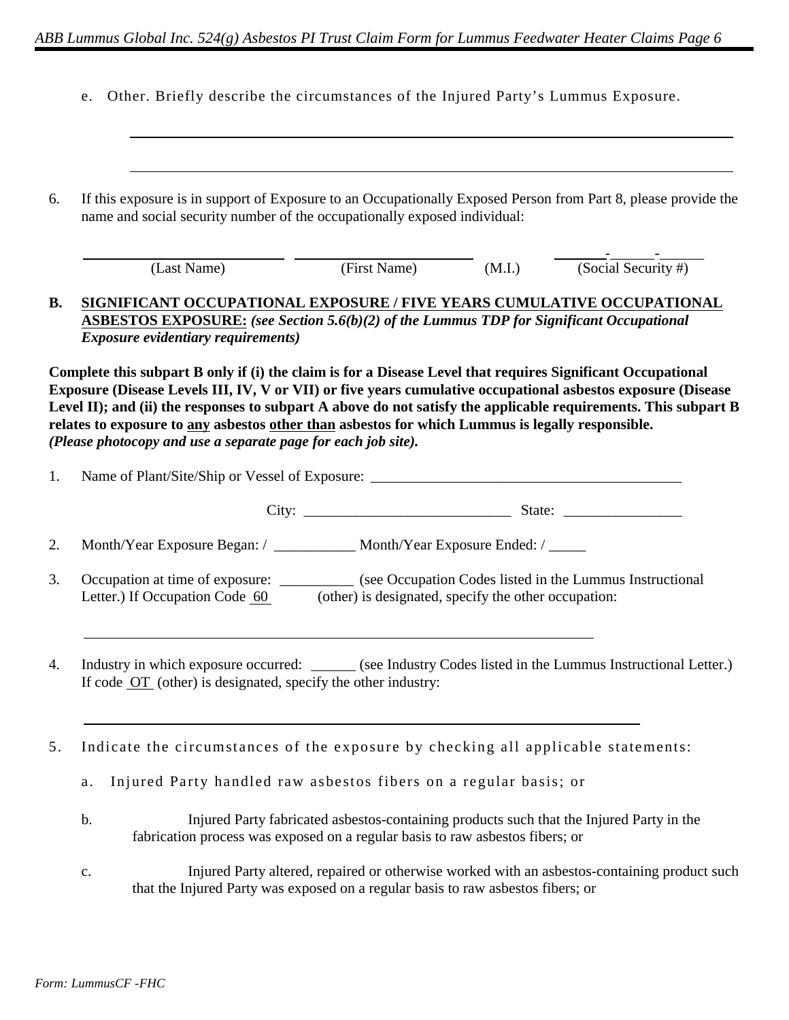|  |  |  |  |  | e. Other. Briefly describe the circumstances of the Injured Party's Lummus Exposure. |  |  |  |  |  |  |  |  |
|--|--|--|--|--|--------------------------------------------------------------------------------------|--|--|--|--|--|--|--|--|
|--|--|--|--|--|--------------------------------------------------------------------------------------|--|--|--|--|--|--|--|--|

| 6.        | If this exposure is in support of Exposure to an Occupationally Exposed Person from Part 8, please provide the<br>name and social security number of the occupationally exposed individual:                                                                                                                                                                                                                                                                                                                         |
|-----------|---------------------------------------------------------------------------------------------------------------------------------------------------------------------------------------------------------------------------------------------------------------------------------------------------------------------------------------------------------------------------------------------------------------------------------------------------------------------------------------------------------------------|
|           | $\frac{1}{\left(\text{Social Security }\# \right)}$<br>(First Name) (M.I.)<br>(Last Name)                                                                                                                                                                                                                                                                                                                                                                                                                           |
| <b>B.</b> | SIGNIFICANT OCCUPATIONAL EXPOSURE / FIVE YEARS CUMULATIVE OCCUPATIONAL<br><b>ASBESTOS EXPOSURE:</b> (see Section 5.6(b)(2) of the Lummus TDP for Significant Occupational<br><b>Exposure evidentiary requirements)</b>                                                                                                                                                                                                                                                                                              |
|           | Complete this subpart B only if (i) the claim is for a Disease Level that requires Significant Occupational<br>Exposure (Disease Levels III, IV, V or VII) or five years cumulative occupational asbestos exposure (Disease<br>Level II); and (ii) the responses to subpart A above do not satisfy the applicable requirements. This subpart B<br>relates to exposure to any asbestos other than asbestos for which Lummus is legally responsible.<br>(Please photocopy and use a separate page for each job site). |
| 1.        |                                                                                                                                                                                                                                                                                                                                                                                                                                                                                                                     |
|           |                                                                                                                                                                                                                                                                                                                                                                                                                                                                                                                     |
| 2.        | Month/Year Exposure Began: / ____________ Month/Year Exposure Ended: / ______                                                                                                                                                                                                                                                                                                                                                                                                                                       |
| 3.        | Occupation at time of exposure: ___________ (see Occupation Codes listed in the Lummus Instructional<br>Letter.) If Occupation Code 60<br>(other) is designated, specify the other occupation:                                                                                                                                                                                                                                                                                                                      |
| 4.        | Industry in which exposure occurred: ______ (see Industry Codes listed in the Lummus Instructional Letter.)<br>If code OT (other) is designated, specify the other industry:                                                                                                                                                                                                                                                                                                                                        |
| 5.        | Indicate the circumstances of the exposure by checking all applicable statements:                                                                                                                                                                                                                                                                                                                                                                                                                                   |
|           | Injured Party handled raw asbestos fibers on a regular basis; or<br>a.                                                                                                                                                                                                                                                                                                                                                                                                                                              |
|           | Injured Party fabricated asbestos-containing products such that the Injured Party in the<br>b.<br>fabrication process was exposed on a regular basis to raw asbestos fibers; or                                                                                                                                                                                                                                                                                                                                     |
|           | Injured Party altered, repaired or otherwise worked with an asbestos-containing product such<br>$\mathbf{c}$ .<br>that the Injured Party was exposed on a regular basis to raw asbestos fibers; or                                                                                                                                                                                                                                                                                                                  |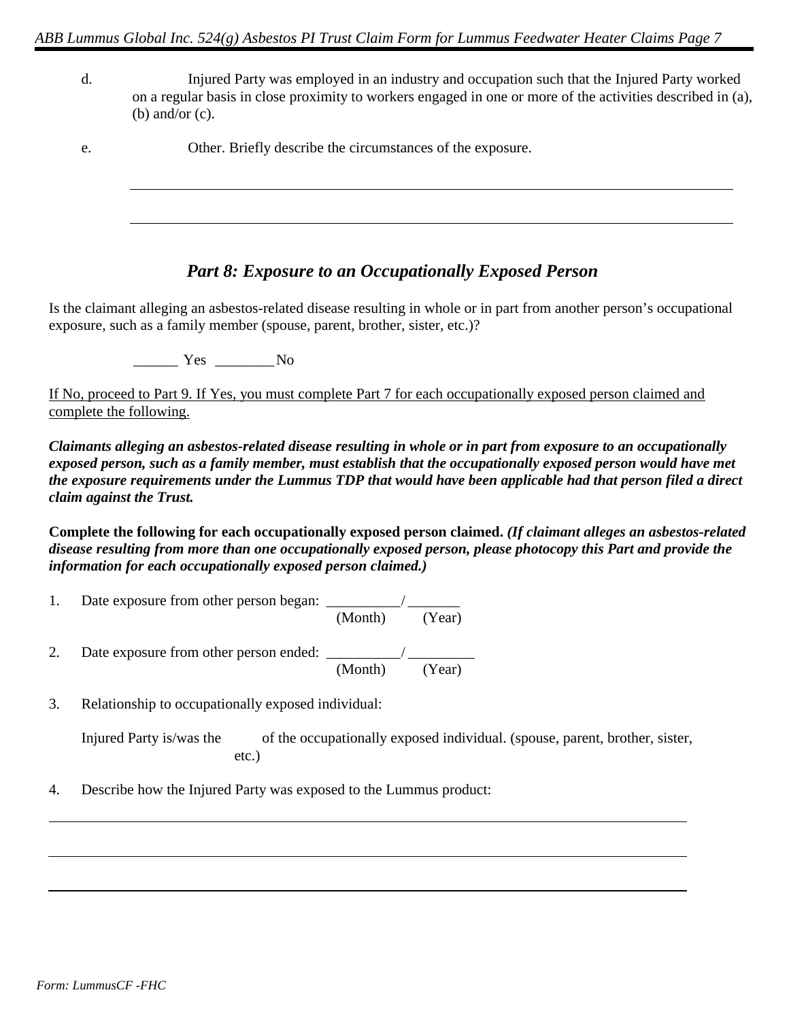- Injured Party was employed in an industry and occupation such that the Injured Party worked  $\mathbf{d}$ . on a regular basis in close proximity to workers engaged in one or more of the activities described in (a), (b) and/or  $(c)$ .
- Other. Briefly describe the circumstances of the exposure. e.

### **Part 8: Exposure to an Occupationally Exposed Person**

Is the claimant alleging an asbestos-related disease resulting in whole or in part from another person's occupational exposure, such as a family member (spouse, parent, brother, sister, etc.)?

Yes No

If No, proceed to Part 9. If Yes, you must complete Part 7 for each occupationally exposed person claimed and complete the following.

Claimants alleging an asbestos-related disease resulting in whole or in part from exposure to an occupationally exposed person, such as a family member, must establish that the occupationally exposed person would have met the exposure requirements under the Lummus TDP that would have been applicable had that person filed a direct claim against the Trust.

Complete the following for each occupationally exposed person claimed. (If claimant alleges an asbestos-related disease resulting from more than one occupationally exposed person, please photocopy this Part and provide the information for each occupationally exposed person claimed.)

- Date exposure from other person began:  $\frac{1}{(Month)}$   $\frac{1}{(Year)}$ 1. 2.  $(Year)$ (Month)
- Relationship to occupationally exposed individual: 3.

| Injured Party is/was the | of the occupationally exposed individual. (spouse, parent, brother, sister, |  |
|--------------------------|-----------------------------------------------------------------------------|--|
|                          | etc.)                                                                       |  |

Describe how the Injured Party was exposed to the Lummus product:  $\overline{4}$ .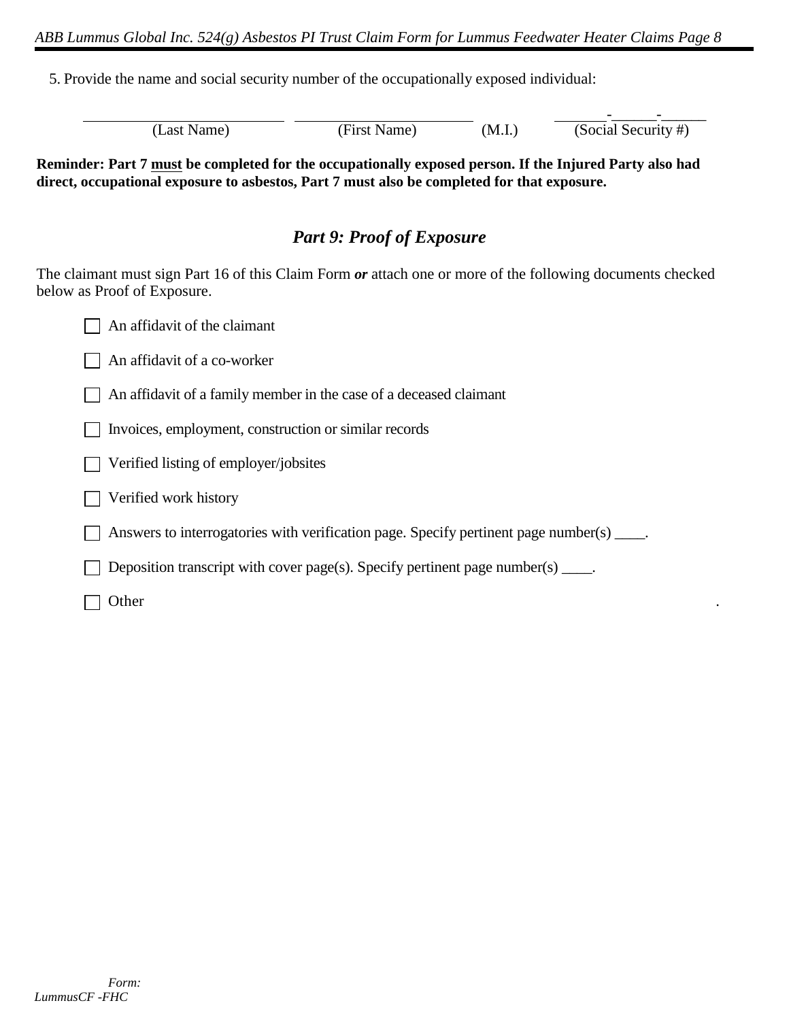5. Provide the name and social security number of the occupationally exposed individual:

| (Last Name) | (First Name) | (M.I.) | (Social Security #) |
|-------------|--------------|--------|---------------------|

Reminder: Part 7 must be completed for the occupationally exposed person. If the Injured Party also had direct, occupational exposure to asbestos, Part 7 must also be completed for that exposure.

# **Part 9: Proof of Exposure**

The claimant must sign Part 16 of this Claim Form or attach one or more of the following documents checked below as Proof of Exposure.

| An affidavit of the claimant |  |
|------------------------------|--|
|                              |  |

 $\Box$  An affidavit of a co-worker

An affidavit of a family member in the case of a deceased claimant

This invoices, employment, construction or similar records

 $\Box$  Verified listing of employer/jobsites

 $\Box$  Verified work history

 $\Box$  Answers to interrogatories with verification page. Specify pertinent page number(s)  $\Box$ 

 $\Box$  Deposition transcript with cover page(s). Specify pertinent page number(s)  $\Box$ .

 $\Box$  Other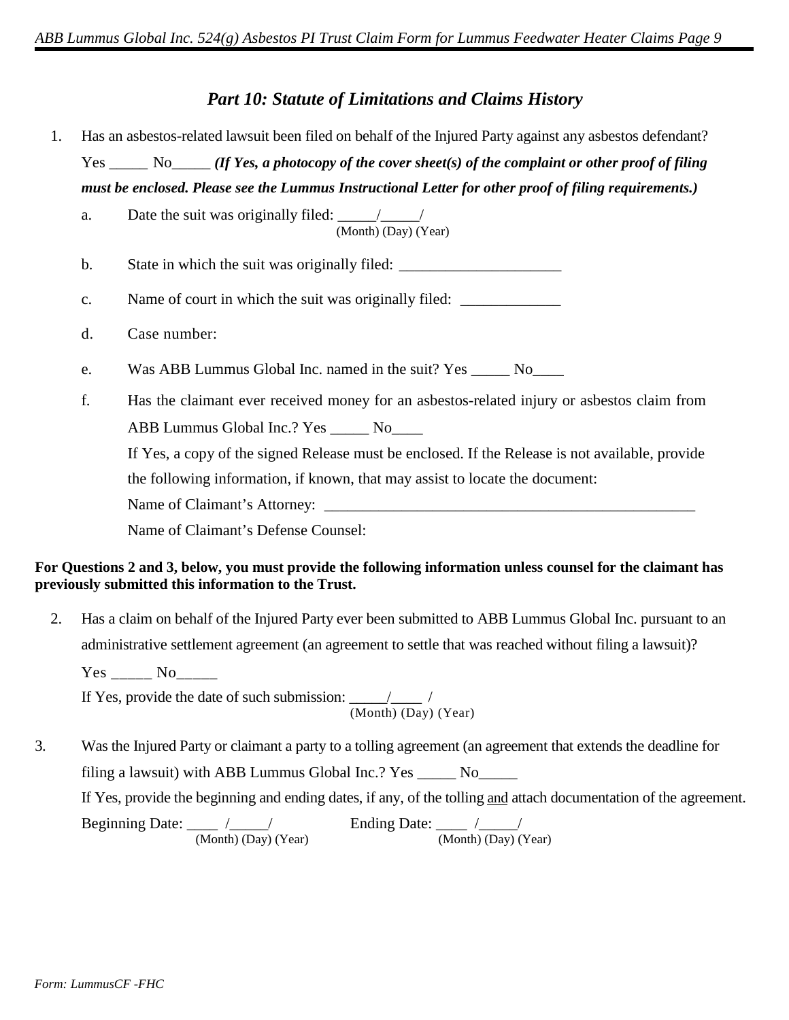### **Part 10: Statute of Limitations and Claims History**

- Has an asbestos-related lawsuit been filed on behalf of the Injured Party against any asbestos defendant? 1.  $Yes \_\_\_\_$  No  $\_\_\_\_$  (If Yes, a photocopy of the cover sheet(s) of the complaint or other proof of filing must be enclosed. Please see the Lummus Instructional Letter for other proof of filing requirements.)
	- Date the suit was originally filed:  $\frac{1}{(Month)(Day)(Year)}$ a.
	- $\mathbf{b}$ . State in which the suit was originally filed:
	- Name of court in which the suit was originally filed:  $\mathbf{c}$ .
	- d. Case number:
	- Was ABB Lummus Global Inc. named in the suit? Yes No e.
	- f. Has the claimant ever received money for an asbestos-related injury or asbestos claim from ABB Lummus Global Inc.? Yes \_\_\_\_\_\_ No\_\_\_\_\_

If Yes, a copy of the signed Release must be enclosed. If the Release is not available, provide the following information, if known, that may assist to locate the document:

Name of Claimant's Attorney:

Name of Claimant's Defense Counsel:

#### For Questions 2 and 3, below, you must provide the following information unless counsel for the claimant has previously submitted this information to the Trust.

Has a claim on behalf of the Injured Party ever been submitted to ABB Lummus Global Inc. pursuant to an 2. administrative settlement agreement (an agreement to settle that was reached without filing a lawsuit)?  $Yes$  No

If Yes, provide the date of such submission:  $\frac{1}{(Month)(Day)(Year)}$ 

 $\overline{3}$ . Was the Injured Party or claimant a party to a tolling agreement (an agreement that extends the deadline for filing a lawsuit) with ABB Lummus Global Inc.? Yes \_\_\_\_\_ No\_\_\_\_\_ If Yes, provide the beginning and ending dates, if any, of the tolling and attach documentation of the agreement. Ending Date:  $\frac{1}{(Month) (Day) (Year)}$ Beginning Date:  $\frac{1}{(Month) (Day) (Year)}$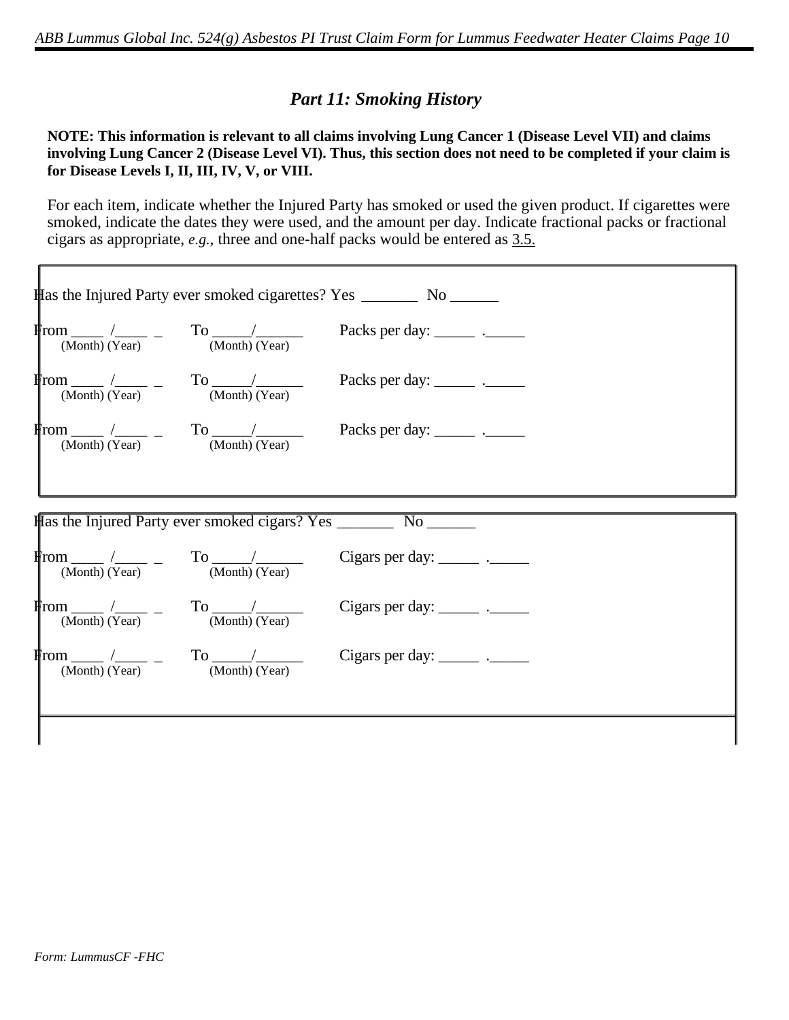# **Part 11: Smoking History**

#### NOTE: This information is relevant to all claims involving Lung Cancer 1 (Disease Level VII) and claims involving Lung Cancer 2 (Disease Level VI). Thus, this section does not need to be completed if your claim is for Disease Levels I, II, III, IV, V, or VIII.

For each item, indicate whether the Injured Party has smoked or used the given product. If cigarettes were smoked, indicate the dates they were used, and the amount per day. Indicate fractional packs or fractional cigars as appropriate, *e.g.*, three and one-half packs would be entered as  $3.5$ .

|                                                                                                                  | <b>Has the Injured Party ever smoked cigarettes? Yes _________ No ______</b> |  |
|------------------------------------------------------------------------------------------------------------------|------------------------------------------------------------------------------|--|
| $\frac{\text{From}}{\text{(Month)}} \frac{1}{\text{(Year)}}$ - To $\frac{1}{\text{(Month)}}$                     | Packs per day: _______ .______                                               |  |
|                                                                                                                  |                                                                              |  |
|                                                                                                                  |                                                                              |  |
|                                                                                                                  |                                                                              |  |
|                                                                                                                  |                                                                              |  |
| $\int_{\text{I}(\text{Month})}^{\text{I}(\text{month})} \frac{1}{(\text{Year})}$ - To $\frac{1}{(\text{Month})}$ | Cigars per day: $\frac{\ }{\ }$                                              |  |
| $\frac{\text{From}}{\text{(Month)}} \frac{1}{\text{(Year)}}$ - To $\frac{1}{\text{(Month)}}$                     | Cigars per day: $\frac{\ }{\ }$                                              |  |
| $\frac{\text{From } (Month) \ (Year)}{\text{(Month) (Year)}}$ - To $\frac{1}{(Month) \ (Year)}$                  | Cigars per day: _______ .______                                              |  |
|                                                                                                                  |                                                                              |  |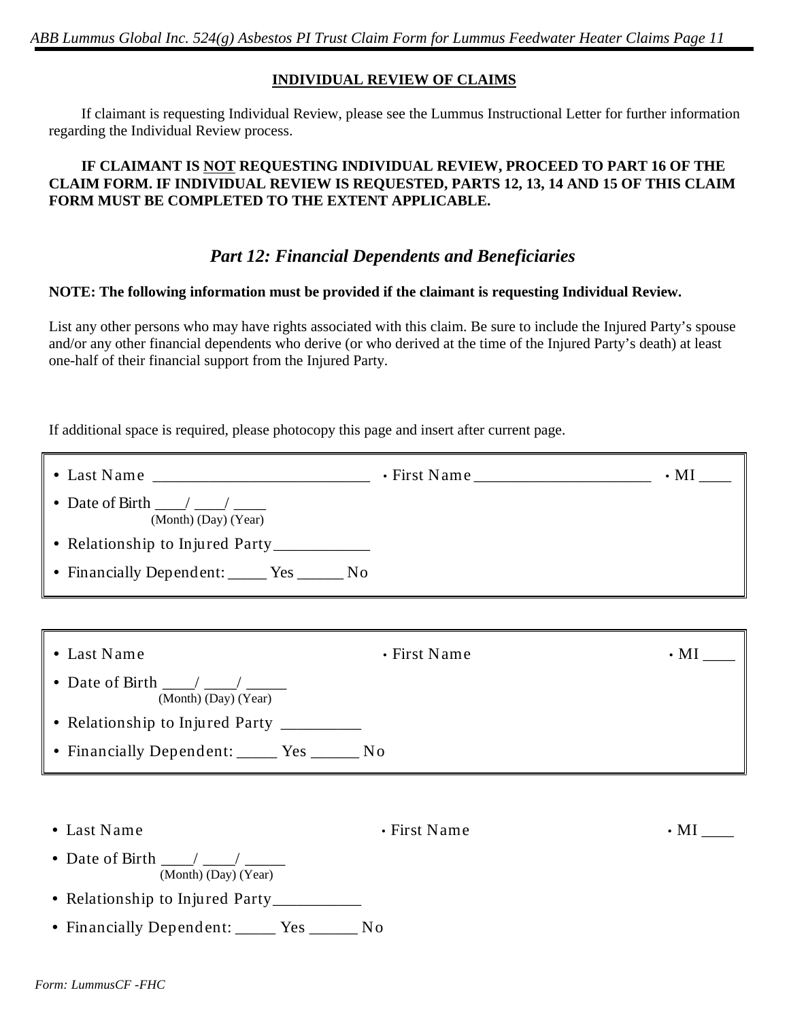ABB Lummus Global Inc. 524(g) Asbestos PI Trust Claim Form for Lummus Feedwater Heater Claims Page 11

#### **INDIVIDUAL REVIEW OF CLAIMS**

If claimant is requesting Individual Review, please see the Lummus Instructional Letter for further information regarding the Individual Review process.

#### IF CLAIMANT IS NOT REQUESTING INDIVIDUAL REVIEW, PROCEED TO PART 16 OF THE CLAIM FORM. IF INDIVIDUAL REVIEW IS REQUESTED, PARTS 12, 13, 14 AND 15 OF THIS CLAIM FORM MUST BE COMPLETED TO THE EXTENT APPLICABLE.

### **Part 12: Financial Dependents and Beneficiaries**

#### NOTE: The following information must be provided if the claimant is requesting Individual Review.

List any other persons who may have rights associated with this claim. Be sure to include the Injured Party's spouse and/or any other financial dependents who derive (or who derived at the time of the Injured Party's death) at least one-half of their financial support from the Injured Party.

If additional space is required, please photocopy this page and insert after current page.

|                                                                           |              | $\cdot$ MI $\_$ |
|---------------------------------------------------------------------------|--------------|-----------------|
| • Date of Birth $\frac{\ }{\ }$<br>(Month) (Day) (Year)                   |              |                 |
| • Relationship to Injured Party__________                                 |              |                 |
| • Financially Dependent: ______ Yes _______ No                            |              |                 |
|                                                                           |              |                 |
| • Last Name                                                               | • First Name | $\cdot$ MI $\_$ |
| • Date of Birth $\frac{\ }{\ }$ / $\frac{\ }{\ }$<br>(Month) (Day) (Year) |              |                 |
| • Relationship to Injured Party __________                                |              |                 |
| • Financially Dependent: _____ Yes ______ No                              |              |                 |
|                                                                           |              |                 |
| • Last Name                                                               | • First Name | $\cdot$ MI      |
| • Date of Birth $\frac{\ }{\ }$ / $\frac{\ }{\ }$<br>(Month) (Day) (Year) |              |                 |
| • Relationship to Injured Party_________                                  |              |                 |
| • Financially Dependent: _____ Yes ______ No                              |              |                 |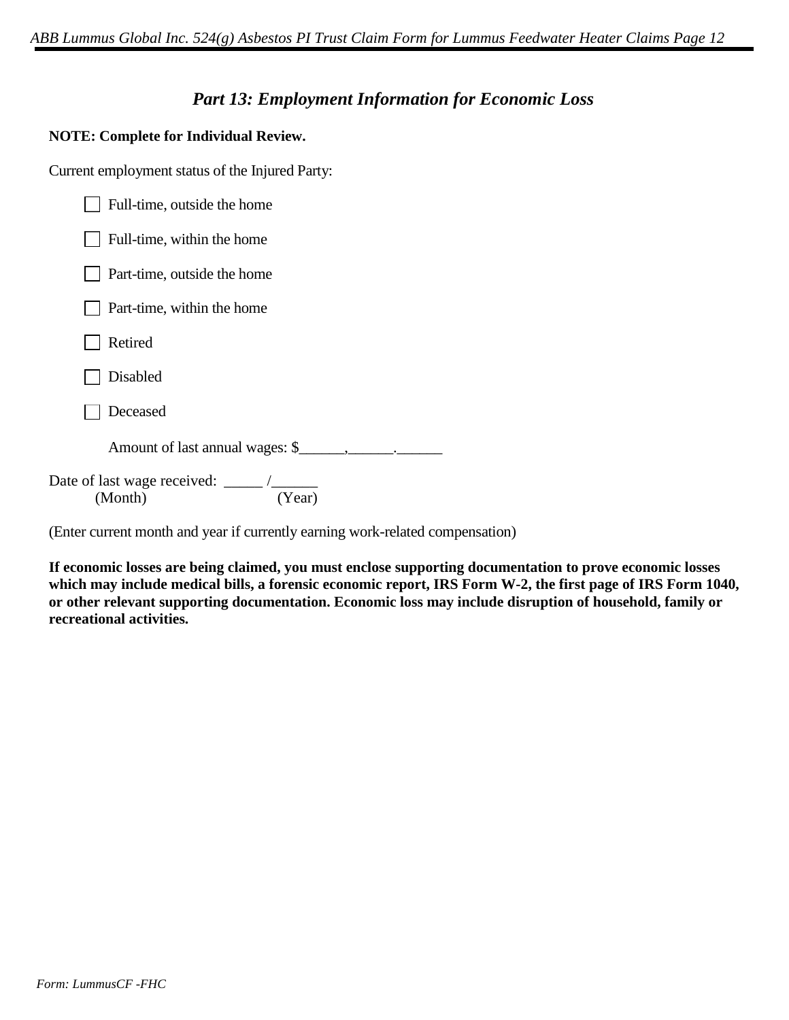### **Part 13: Employment Information for Economic Loss**

#### **NOTE: Complete for Individual Review.**

Current employment status of the Injured Party:

| Full-time, outside the home     |
|---------------------------------|
| Full-time, within the home      |
| Part-time, outside the home     |
| Part-time, within the home      |
| Retired                         |
| Disabled                        |
| Deceased                        |
| Amount of last annual wages: \$ |
| (Month)<br>(Year)               |

(Enter current month and year if currently earning work-related compensation)

If economic losses are being claimed, you must enclose supporting documentation to prove economic losses which may include medical bills, a forensic economic report, IRS Form W-2, the first page of IRS Form 1040, or other relevant supporting documentation. Economic loss may include disruption of household, family or recreational activities.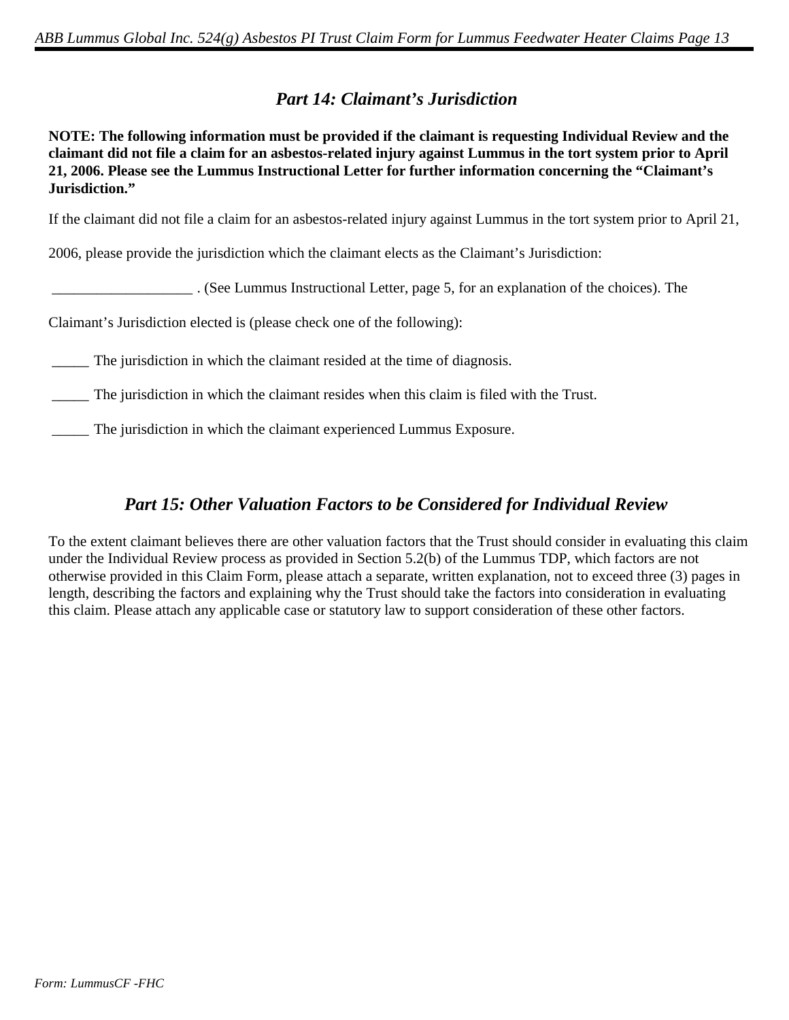# **Part 14: Claimant's Jurisdiction**

NOTE: The following information must be provided if the claimant is requesting Individual Review and the claimant did not file a claim for an asbestos-related injury against Lummus in the tort system prior to April 21, 2006. Please see the Lummus Instructional Letter for further information concerning the "Claimant's Jurisdiction."

If the claimant did not file a claim for an asbestos-related injury against Lummus in the tort system prior to April 21,

2006, please provide the jurisdiction which the claimant elects as the Claimant's Jurisdiction:

. (See Lummus Instructional Letter, page 5, for an explanation of the choices). The

Claimant's Jurisdiction elected is (please check one of the following):

The jurisdiction in which the claimant resided at the time of diagnosis.

The jurisdiction in which the claimant resides when this claim is filed with the Trust.

The jurisdiction in which the claimant experienced Lummus Exposure.

# **Part 15: Other Valuation Factors to be Considered for Individual Review**

To the extent claimant believes there are other valuation factors that the Trust should consider in evaluating this claim under the Individual Review process as provided in Section 5.2(b) of the Lummus TDP, which factors are not otherwise provided in this Claim Form, please attach a separate, written explanation, not to exceed three (3) pages in length, describing the factors and explaining why the Trust should take the factors into consideration in evaluating this claim. Please attach any applicable case or statutory law to support consideration of these other factors.